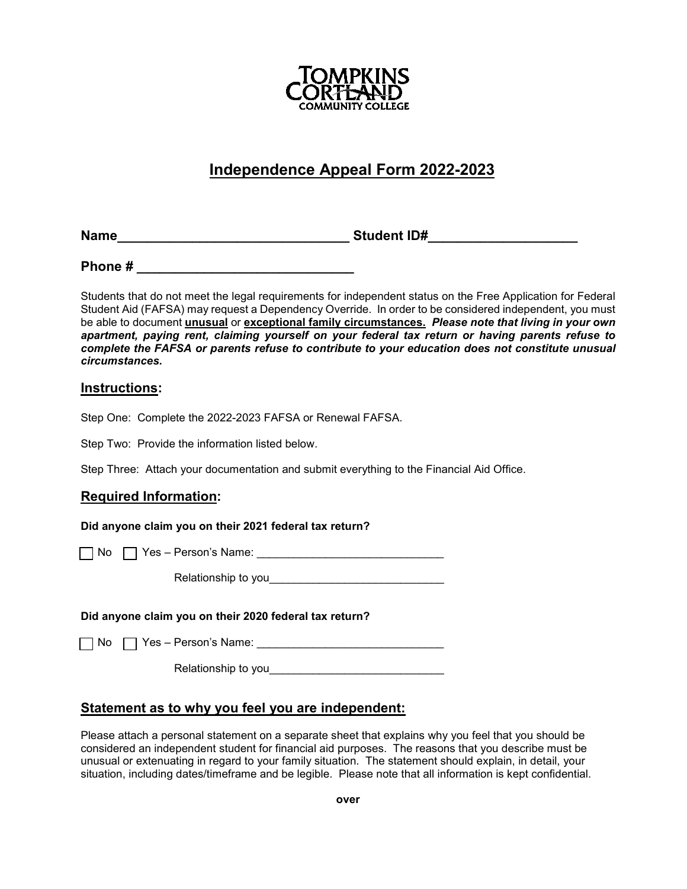

# **Independence Appeal Form 2022-2023**

**Name Name Student ID#** 

**Phone #**  $\blacksquare$ 

Students that do not meet the legal requirements for independent status on the Free Application for Federal Student Aid (FAFSA) may request a Dependency Override. In order to be considered independent, you must be able to document **unusual** or **exceptional family circumstances.** *Please note that living in your own apartment, paying rent, claiming yourself on your federal tax return or having parents refuse to complete the FAFSA or parents refuse to contribute to your education does not constitute unusual circumstances.*

## **Instructions:**

Step One: Complete the 2022-2023 FAFSA or Renewal FAFSA.

Step Two: Provide the information listed below.

Step Three: Attach your documentation and submit everything to the Financial Aid Office.

## **Required Information:**

**Did anyone claim you on their 2021 federal tax return?**

 $\Box$  No  $\Box$  Yes – Person's Name:

Relationship to you\_\_\_\_\_\_\_\_\_\_\_\_\_\_\_\_\_\_\_\_\_\_\_\_\_\_\_\_

#### **Did anyone claim you on their 2020 federal tax return?**

No Yes – Person's Name: \_\_\_\_\_\_\_\_\_\_\_\_\_\_\_\_\_\_\_\_\_\_\_\_\_\_\_\_\_\_

Relationship to you

## **Statement as to why you feel you are independent:**

Please attach a personal statement on a separate sheet that explains why you feel that you should be considered an independent student for financial aid purposes. The reasons that you describe must be unusual or extenuating in regard to your family situation. The statement should explain, in detail, your situation, including dates/timeframe and be legible. Please note that all information is kept confidential.